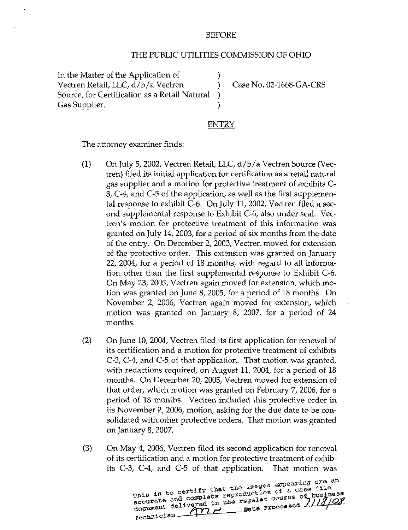## BEFORE

## THE PUBLIC UTILITIES COMMISSION OF OHIO

In the Matter of the Application of  $\qquad \qquad$  ) Vectren Retail, LLC, d/b/a Vectren (b. 2008) Case No. 02-1668-GA-CRS<br>Source, for Certification as a Retail Natural (b. 2016) Source, for Certification as a Retail Natural ) Gas Supplier. (1998)

## ENTRY

The attorney examiner finds:

- $(1)$  On July 5, 2002, Vectren Retail, LLC,  $d/b/a$  Vectren Source (Vectren) filed its initial application for certification as a retail natural gas supplier and a motion for protective treatment of exhibits C-3, C-4, and C-5 of the application, as well as the first supplemental response to exhibit C-6. On July 11, 2002, Vectren filed a second supplemental response to Exhibit C-6, also under seal, Vectren's motion for protective treatment of this information was granted on July 14, 2003, for a period of six months from the date of the entry. On December 2, 2003, Vectren moved for extension of the protective order. This extension was granted on January 22, 2004, for a period of 18 months, with regard to all information other than the first supplemental response to Exhibit C~6. On May 23, 2005, Vectren again moved for extension, which motion was granted on June 8, 2005, for a period of 18 months. On November 2, 2006, Vectren again moved for extension, which motion was granted on January 8, 2007, for a period of 24 months.
- (2) On June 10, 2004, Vectren filed its first application for renewal of its certification and a motion for protective treatment of exhibits C-3, C-4, and C-5 of that application. That motion was granted, with redactions required, on August 11, 2004, for a period of 18 months. On December 20, 2005, Vectren moved for extension of that order, which motion was granted on February 7, 2006, for a period of 18 months. Vectren included this protective order in its November 2, 2006, motion, asking for the due date to be consolidated with other protective orders. That motion was granted on January 8,2007,
- (3) On May 4, 2006, Vectren filed its second application for renewal of its certification and a motion for protective treatment of exhibits C-3, C-4, and C-5 of that application. That motion was

:ing are an  $_{\tt Th18}$  is to cer accurate and complete reproduction of a case file  $d$ ocument  $\overline{r}$   $\overline{r}$   $\overline{r}$   $\overline{r}$   $\overline{r}$   $\overline{r}$ fechnician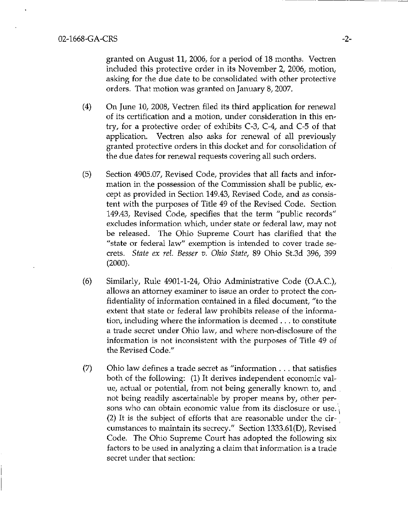granted on August 11, 2006, for a period of 18 months, Vectren included this protective order in its November 2, 2006, motion, asking for the due date to be consolidated with other protective orders. That motion was granted on January 8, 2007.

- (4) On June 10, 2008, Vectren filed its third application for renewal of its certification and a motion, under consideration in this entry, for a protective order of exhibits C-3, C-4, and C-5 of that application. Vectren also asks for renewal of all previously granted protective orders in this docket and for consolidation of the due dates for renewal requests covering all such orders.
- (5) Section 4905.07, Revised Code, provides that all facts and information in the possession of the Commission shall be public, except as provided in Section 149.43, Revised Code, and as consistent with the purposes of Title 49 of the Revised Code. Section 149.43, Revised Code, specifies that the term "public records" excludes information which, under state or federal law, may not be released. The Ohio Supreme Court has clarified that the "state or federal law" exemption is intended to cover trade secrets. State ex rel Besser v. Ohio State, 89 Ohio St.3d 396, 399  $(2000).$
- (6) Similarly, Rule 4901-1-24, Ohio Administrative Code (O.A.C.), allows an attorney examiner to issue an order to protect the confidentiality of information contained in a filed document, "to the extent that state or federal law prohibits release of the information, including where the information is deemed .. . to constitute a trade secret under Ohio law, and where non-disclosure of the information is not inconsistent with the purposes of Title 49 of the Revised Code."
- (7) Ohio law defines a trade secret as "information . . . that satisfies both of the following: (1) It derives independent economic value, actual or potential, from not being generally known to, and . not being readily ascertainable by proper means by, other persons who can obtain economic value from its disclosure or use. (2) It is the subject of efforts that are reasonable under the circumstances to maintain its secrecy." Section 1333.61(D), Revised Code. The Ohio Supreme Court has adopted the following six factors to be used in analyzing a claim that information is a trade secret under that section: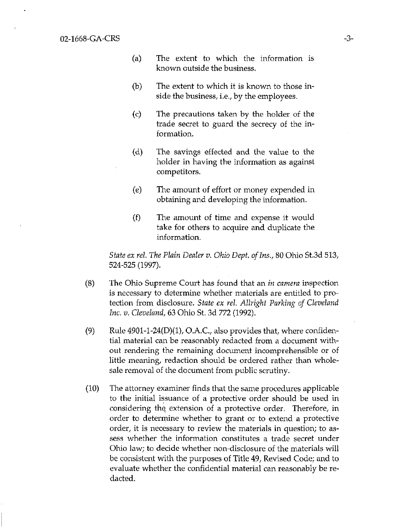- (a) The extent to which the information is known outside the business.
- (b) The extent to which it is known to those inside the business, i.e., by the employees.
- (c) The precautions taken by the holder of the trade secret to guard the secrecy of the information.
- (d) The savings effected and the value to the holder in having the information as against competitors,
- (e) The amount of effort or money expended in obtaining and developing the information.
- (f) The amount of time and expense it would take for others to acquire and duplicate the information.

State ex rel. The Plain Dealer v. Ohio Dept. of Ins., 80 Ohio St.3d 513, 524-525 (1997).

- (8) The Ohio Supreme Court has found that an in camera inspection is necessary to determine whether materials are entitled to protection from disclosure. State ex rel. Allright Parking of Cleveland Inc. v. Cleveland, 63 Ohio St. 3d 772 (1992).
- (9) Rule  $4901-1-24(D)(1)$ , O.A.C., also provides that, where confidential material can be reasonably redacted from a document without rendering the remaining document incomprehensible or of little meaning, redaction should be ordered rather than wholesale removal of the document from public scrutiny.
- (10) The attorney examiner finds that the same procedures applicable to the initial issuance of a protective order should be used in considering thq extension of a protective order. Therefore, in order to determine whether to grant or to extend a protective order, it is necessary to review the materials in question; to assess whether the information constitutes a trade secret under Ohio law; to decide whether non-disclosure of the materials will be consistent with the purposes of Title 49, Revised Code; and to evaluate whether the confidential material can reasonably be redacted.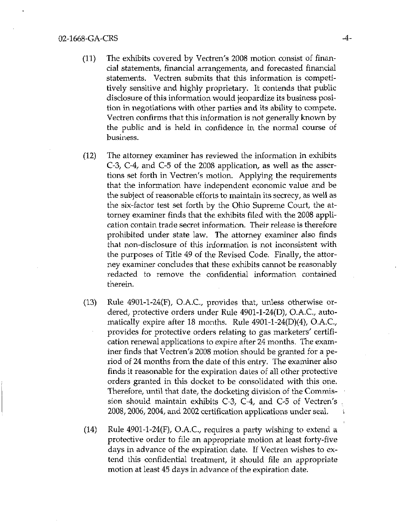## 02-1668-GA-CRS -4-

- (11) The exhibits covered by Vectren's 2008 motion consist of financial statements, financial arrangements, and forecasted financial statements. Vectren submits that this information is competitively sensitive and highly proprietary. It contends that public disclosure of this information would jeopardize its business position in negotiations with other parties and its ability to compete. Vectren confirms that this information is not generally known by the public and is held in confidence in the normal course of business.
- (12) The attorney examiner has reviewed the information in exhibits C-3, C-4, and C-5 of the 2008 application, as well as the assertions set forth in Vectren's motion. Applying the requirements that the information have independent economic value and be the subject of reasonable efforts to maintain its secrecy, as well as the six-factor test set forth by the Ohio Supreme Court, the attorney examiner finds that the exhibits filed with the 2008 application contain trade secret information. Their release is therefore prohibited under state law. The attorney examiner also finds that non-disclosure of this information is not inconsistent with the purposes of Title 49 of the Revised Code. Finally, the attorney examiner concludes that these exhibits cannot be reasonably redacted to remove the confidential information contained therein.
- (13) Rule 4901-1-24(F), O.A.C, provides that, unless otherwise ordered, protective orders under Rule 4901-1-24(D), O.A.C, automatically expire after 18 months. Rule 4901-1-24(D)(4), O.A.C, provides for protective orders relating to gas marketers' certification renewal applications to expire after 24 months. The examiner finds that Vectren's 2008 motion should be granted for a period of 24 months from the date of this entry. The examiner also finds it reasonable for the expiration dates of all other protective orders granted in this docket to be consolidated with this one. Therefore, until that date, the docketing division of the Commission should maintain exhibits  $C-3$ ,  $C-4$ , and  $C-5$  of Vectren's 2008, 2006, 2004, and 2002 certification applications under seal \
- $(14)$  Rule 4901-1-24 $(F)$ , O.A.C., requires a party wishing to extend a protective order to file an appropriate motion at least forty-five days in advance of the expiration date. If Vectren wishes to extend this confidential treatment, it should file an appropriate motion at least 45 days in advance of the expiration date.